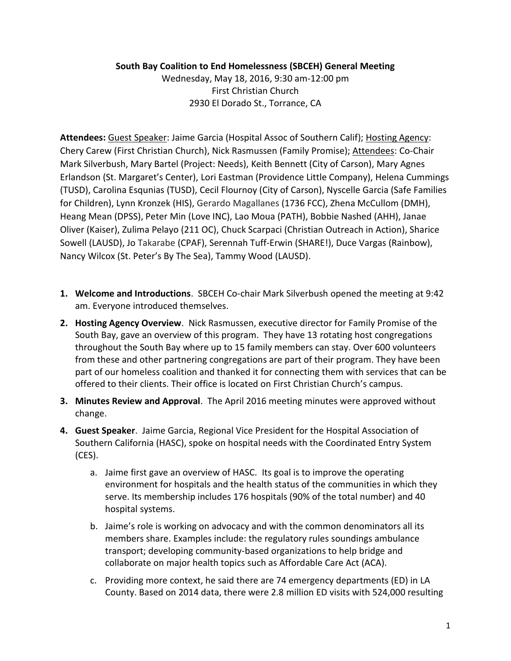## **South Bay Coalition to End Homelessness (SBCEH) General Meeting**

Wednesday, May 18, 2016, 9:30 am-12:00 pm First Christian Church 2930 El Dorado St., Torrance, CA

Attendees: Guest Speaker: Jaime Garcia (Hospital Assoc of Southern Calif); Hosting Agency: Chery Carew (First Christian Church), Nick Rasmussen (Family Promise); Attendees: Co-Chair Mark Silverbush, Mary Bartel (Project: Needs), Keith Bennett (City of Carson), Mary Agnes Erlandson (St. Margaret's Center), Lori Eastman (Providence Little Company), Helena Cummings (TUSD), Carolina Esqunias (TUSD), Cecil Flournoy (City of Carson), Nyscelle Garcia (Safe Families for Children), Lynn Kronzek (HIS), Gerardo Magallanes (1736 FCC), Zhena McCullom (DMH), Heang Mean (DPSS), Peter Min (Love INC), Lao Moua (PATH), Bobbie Nashed (AHH), Janae Oliver (Kaiser), Zulima Pelayo (211 OC), Chuck Scarpaci (Christian Outreach in Action), Sharice Sowell (LAUSD), Jo Takarabe (CPAF), Serennah Tuff-Erwin (SHARE!), Duce Vargas (Rainbow), Nancy Wilcox (St. Peter's By The Sea), Tammy Wood (LAUSD).

- **1. Welcome and Introductions**. SBCEH Co-chair Mark Silverbush opened the meeting at 9:42 am. Everyone introduced themselves.
- **2. Hosting Agency Overview**. Nick Rasmussen, executive director for Family Promise of the South Bay, gave an overview of this program. They have 13 rotating host congregations throughout the South Bay where up to 15 family members can stay. Over 600 volunteers from these and other partnering congregations are part of their program. They have been part of our homeless coalition and thanked it for connecting them with services that can be offered to their clients. Their office is located on First Christian Church's campus.
- **3. Minutes Review and Approval**. The April 2016 meeting minutes were approved without change.
- **4. Guest Speaker**. Jaime Garcia, Regional Vice President for the Hospital Association of Southern California (HASC), spoke on hospital needs with the Coordinated Entry System (CES).
	- a. Jaime first gave an overview of HASC. Its goal is to improve the operating environment for hospitals and the health status of the communities in which they serve. Its membership includes 176 hospitals (90% of the total number) and 40 hospital systems.
	- b. Jaime's role is working on advocacy and with the common denominators all its members share. Examples include: the regulatory rules soundings ambulance transport; developing community-based organizations to help bridge and collaborate on major health topics such as Affordable Care Act (ACA).
	- c. Providing more context, he said there are 74 emergency departments (ED) in LA County. Based on 2014 data, there were 2.8 million ED visits with 524,000 resulting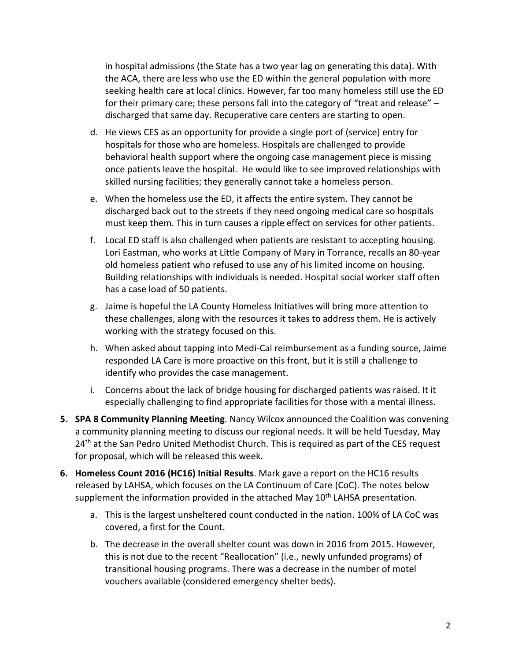in hospital admissions (the State has a two year lag on generating this data). With the ACA, there are less who use the ED within the general population with more seeking health care at local clinics. However, far too many homeless still use the ED for their primary care; these persons fall into the category of "treat and release" – discharged that same day. Recuperative care centers are starting to open.

- d. He views CES as an opportunity for provide a single port of (service) entry for hospitals for those who are homeless. Hospitals are challenged to provide behavioral health support where the ongoing case management piece is missing once patients leave the hospital. He would like to see improved relationships with skilled nursing facilities; they generally cannot take a homeless person.
- e. When the homeless use the ED, it affects the entire system. They cannot be discharged back out to the streets if they need ongoing medical care so hospitals must keep them. This in turn causes a ripple effect on services for other patients.
- f. Local ED staff is also challenged when patients are resistant to accepting housing. Lori Eastman, who works at Little Company of Mary in Torrance, recalls an 80-year old homeless patient who refused to use any of his limited income on housing. Building relationships with individuals is needed. Hospital social worker staff often has a case load of 50 patients.
- g. Jaime is hopeful the LA County Homeless Initiatives will bring more attention to these challenges, along with the resources it takes to address them. He is actively working with the strategy focused on this.
- h. When asked about tapping into Medi-Cal reimbursement as a funding source, Jaime responded LA Care is more proactive on this front, but it is still a challenge to identify who provides the case management.
- i. Concerns about the lack of bridge housing for discharged patients was raised. It it especially challenging to find appropriate facilities for those with a mental illness.
- **5. SPA 8 Community Planning Meeting**. Nancy Wilcox announced the Coalition was convening a community planning meeting to discuss our regional needs. It will be held Tuesday, May 24<sup>th</sup> at the San Pedro United Methodist Church. This is required as part of the CES request for proposal, which will be released this week.
- **6. Homeless Count 2016 (HC16) Initial Results**. Mark gave a report on the HC16 results released by LAHSA, which focuses on the LA Continuum of Care (CoC). The notes below supplement the information provided in the attached May  $10<sup>th</sup>$  LAHSA presentation.
	- a. This is the largest unsheltered count conducted in the nation. 100% of LA CoC was covered, a first for the Count.
	- b. The decrease in the overall shelter count was down in 2016 from 2015. However, this is not due to the recent "Reallocation" (i.e., newly unfunded programs) of transitional housing programs. There was a decrease in the number of motel vouchers available (considered emergency shelter beds).